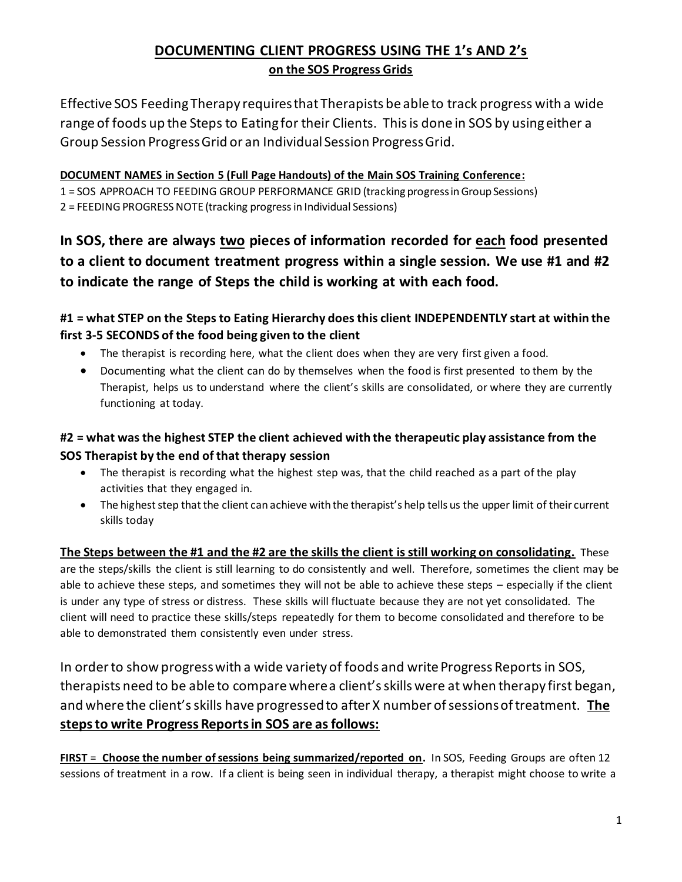# **DOCUMENTING CLIENT PROGRESS USING THE 1's AND 2's on the SOS Progress Grids**

Effective SOS Feeding Therapy requires that Therapists be able to track progress with a wide range of foods up the Steps to Eating for their Clients. This is done in SOS by using either a Group Session Progress Grid or an Individual Session Progress Grid.

#### **DOCUMENT NAMES in Section 5 (Full Page Handouts) of the Main SOS Training Conference:**

1 = SOS APPROACH TO FEEDING GROUP PERFORMANCE GRID (tracking progress in Group Sessions)

2 = FEEDING PROGRESS NOTE (tracking progress in Individual Sessions)

**In SOS, there are always two pieces of information recorded for each food presented to a client to document treatment progress within a single session. We use #1 and #2 to indicate the range of Steps the child is working at with each food.** 

### **#1 = what STEP on the Steps to Eating Hierarchy does this client INDEPENDENTLY start at within the first 3-5 SECONDS of the food being given to the client**

- The therapist is recording here, what the client does when they are very first given a food.
- Documenting what the client can do by themselves when the food is first presented to them by the Therapist, helps us to understand where the client's skills are consolidated, or where they are currently functioning at today.

## **#2 = what was the highest STEP the client achieved with the therapeutic play assistance from the SOS Therapist by the end of that therapy session**

- The therapist is recording what the highest step was, that the child reached as a part of the play activities that they engaged in.
- The highest step that the client can achieve with the therapist's help tells us the upper limit of their current skills today

**The Steps between the #1 and the #2 are the skills the client is still working on consolidating.** These are the steps/skills the client is still learning to do consistently and well. Therefore, sometimes the client may be able to achieve these steps, and sometimes they will not be able to achieve these steps – especially if the client is under any type of stress or distress. These skills will fluctuate because they are not yet consolidated. The client will need to practice these skills/steps repeatedly for them to become consolidated and therefore to be able to demonstrated them consistently even under stress.

In order to show progress with a wide variety of foods and write Progress Reports in SOS, therapists need to be able to compare where a client's skills were at when therapy first began, and where the client's skills have progressed to after X number of sessions of treatment. **The steps to write Progress Reports in SOS are as follows:** 

**FIRST** = **Choose the number of sessions being summarized/reported on.** In SOS, Feeding Groups are often 12 sessions of treatment in a row. If a client is being seen in individual therapy, a therapist might choose to write a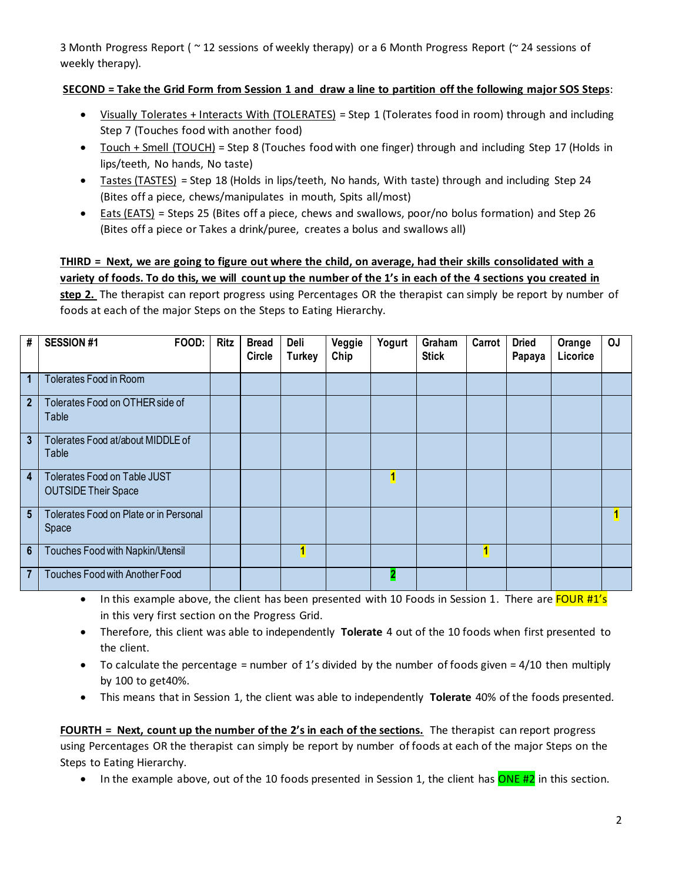3 Month Progress Report ( ~ 12 sessions of weekly therapy) or a 6 Month Progress Report (~ 24 sessions of weekly therapy).

#### **SECOND = Take the Grid Form from Session 1 and draw a line to partition off the following major SOS Steps**:

- Visually Tolerates + Interacts With (TOLERATES) = Step 1 (Tolerates food in room) through and including Step 7 (Touches food with another food)
- Touch + Smell (TOUCH) = Step 8 (Touches food with one finger) through and including Step 17 (Holds in lips/teeth, No hands, No taste)
- Tastes (TASTES) = Step 18 (Holds in lips/teeth, No hands, With taste) through and including Step 24 (Bites off a piece, chews/manipulates in mouth, Spits all/most)
- Eats (EATS) = Steps 25 (Bites off a piece, chews and swallows, poor/no bolus formation) and Step 26 (Bites off a piece or Takes a drink/puree, creates a bolus and swallows all)

**THIRD = Next, we are going to figure out where the child, on average, had their skills consolidated with a variety of foods. To do this, we will count up the number of the 1's in each of the 4 sections you created in step 2.** The therapist can report progress using Percentages OR the therapist can simply be report by number of foods at each of the major Steps on the Steps to Eating Hierarchy.

| #               | <b>SESSION #1</b><br>FOOD:                                        | <b>Ritz</b> | <b>Bread</b><br><b>Circle</b> | Deli<br><b>Turkey</b> | Veggie<br>Chip | Yogurt       | Graham<br><b>Stick</b> | Carrot | <b>Dried</b><br>Papaya | Orange<br>Licorice | <b>OJ</b> |
|-----------------|-------------------------------------------------------------------|-------------|-------------------------------|-----------------------|----------------|--------------|------------------------|--------|------------------------|--------------------|-----------|
| $\overline{1}$  | Tolerates Food in Room                                            |             |                               |                       |                |              |                        |        |                        |                    |           |
| 2 <sup>2</sup>  | Tolerates Food on OTHER side of<br>Table                          |             |                               |                       |                |              |                        |        |                        |                    |           |
| $\overline{3}$  | Tolerates Food at/about MIDDLE of<br>Table                        |             |                               |                       |                |              |                        |        |                        |                    |           |
| $\overline{4}$  | <b>Tolerates Food on Table JUST</b><br><b>OUTSIDE Their Space</b> |             |                               |                       |                | $\mathbf{1}$ |                        |        |                        |                    |           |
| $5\phantom{.0}$ | Tolerates Food on Plate or in Personal<br>Space                   |             |                               |                       |                |              |                        |        |                        |                    | 1         |
| $6\phantom{1}$  | Touches Food with Napkin/Utensil                                  |             |                               | 1                     |                |              |                        |        |                        |                    |           |
| $\overline{7}$  | <b>Touches Food with Another Food</b>                             |             |                               |                       |                | 2            |                        |        |                        |                    |           |

- In this example above, the client has been presented with 10 Foods in Session 1. There are FOUR #1's in this very first section on the Progress Grid.
- Therefore, this client was able to independently **Tolerate** 4 out of the 10 foods when first presented to the client.
- To calculate the percentage = number of 1's divided by the number of foods given =  $4/10$  then multiply by 100 to get40%.
- This means that in Session 1, the client was able to independently **Tolerate** 40% of the foods presented.

**FOURTH = Next, count up the number of the 2's in each of the sections.** The therapist can report progress using Percentages OR the therapist can simply be report by number of foods at each of the major Steps on the Steps to Eating Hierarchy.

• In the example above, out of the 10 foods presented in Session 1, the client has ONE #2 in this section.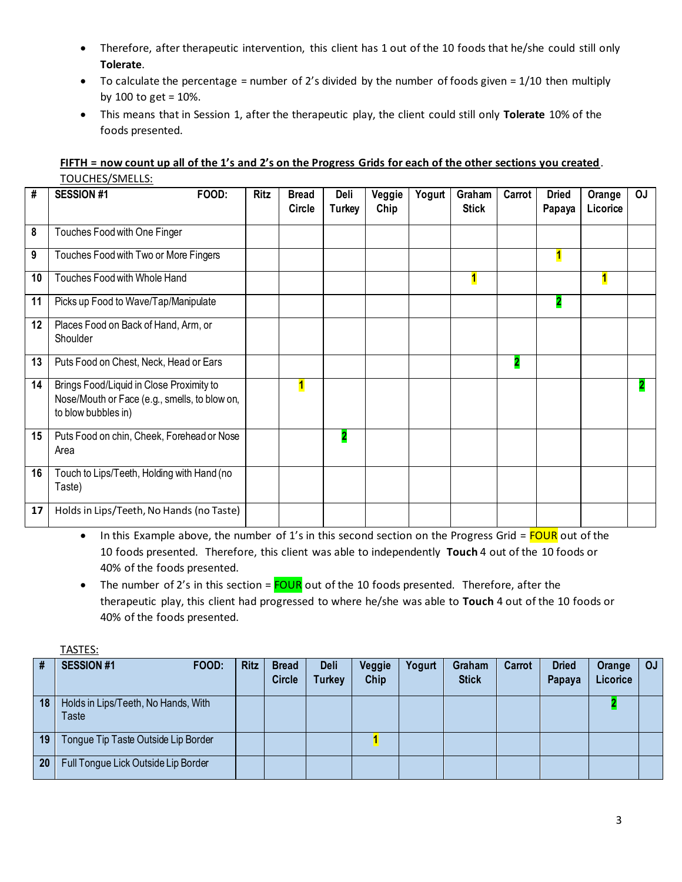- Therefore, after therapeutic intervention, this client has 1 out of the 10 foods that he/she could still only **Tolerate**.
- To calculate the percentage = number of 2's divided by the number of foods given =  $1/10$  then multiply by 100 to get = 10%.
- This means that in Session 1, after the therapeutic play, the client could still only **Tolerate** 10% of the foods presented.

| FIFTH = now count up all of the 1's and 2's on the Progress Grids for each of the other sections you created. |  |
|---------------------------------------------------------------------------------------------------------------|--|
| TOUCHES/SMELLS:                                                                                               |  |

| #  | <b>SESSION #1</b><br>FOOD:                                                                                       | <b>Ritz</b> | <b>Bread</b><br>Circle | Deli<br><b>Turkey</b> | Veggie<br>Chip | Yogurt | Graham<br><b>Stick</b> | Carrot                  | <b>Dried</b><br>Papaya | Orange<br>Licorice      | OJ |
|----|------------------------------------------------------------------------------------------------------------------|-------------|------------------------|-----------------------|----------------|--------|------------------------|-------------------------|------------------------|-------------------------|----|
| 8  | Touches Food with One Finger                                                                                     |             |                        |                       |                |        |                        |                         |                        |                         |    |
| 9  | Touches Food with Two or More Fingers                                                                            |             |                        |                       |                |        |                        |                         | 1                      |                         |    |
| 10 | Touches Food with Whole Hand                                                                                     |             |                        |                       |                |        | 1                      |                         |                        | $\overline{\mathbf{1}}$ |    |
| 11 | Picks up Food to Wave/Tap/Manipulate                                                                             |             |                        |                       |                |        |                        |                         |                        |                         |    |
| 12 | Places Food on Back of Hand, Arm, or<br>Shoulder                                                                 |             |                        |                       |                |        |                        |                         |                        |                         |    |
| 13 | Puts Food on Chest, Neck, Head or Ears                                                                           |             |                        |                       |                |        |                        | $\overline{\mathbf{2}}$ |                        |                         |    |
| 14 | Brings Food/Liquid in Close Proximity to<br>Nose/Mouth or Face (e.g., smells, to blow on,<br>to blow bubbles in) |             | $\blacksquare$         |                       |                |        |                        |                         |                        |                         | 2  |
| 15 | Puts Food on chin, Cheek, Forehead or Nose<br>Area                                                               |             |                        | 2                     |                |        |                        |                         |                        |                         |    |
| 16 | Touch to Lips/Teeth, Holding with Hand (no<br>Taste)                                                             |             |                        |                       |                |        |                        |                         |                        |                         |    |
| 17 | Holds in Lips/Teeth, No Hands (no Taste)                                                                         |             |                        |                       |                |        |                        |                         |                        |                         |    |

• In this Example above, the number of 1's in this second section on the Progress Grid =  $FOUR$  out of the 10 foods presented. Therefore, this client was able to independently **Touch** 4 out of the 10 foods or 40% of the foods presented.

• The number of 2's in this section =  $\frac{FOUR}{O}$  out of the 10 foods presented. Therefore, after the therapeutic play, this client had progressed to where he/she was able to **Touch** 4 out of the 10 foods or 40% of the foods presented.

|--|

| #  | <b>SESSION #1</b><br>FOOD:                   | <b>Ritz</b> | <b>Bread</b><br><b>Circle</b> | Deli<br><b>Turkey</b> | Veggie<br>Chip | Yogurt | Graham<br><b>Stick</b> | Carrot | <b>Dried</b><br>Papaya | Orange<br>Licorice | <b>OJ</b> |
|----|----------------------------------------------|-------------|-------------------------------|-----------------------|----------------|--------|------------------------|--------|------------------------|--------------------|-----------|
| 18 | Holds in Lips/Teeth, No Hands, With<br>Taste |             |                               |                       |                |        |                        |        |                        |                    |           |
| 19 | Tongue Tip Taste Outside Lip Border          |             |                               |                       |                |        |                        |        |                        |                    |           |
| 20 | Full Tongue Lick Outside Lip Border          |             |                               |                       |                |        |                        |        |                        |                    |           |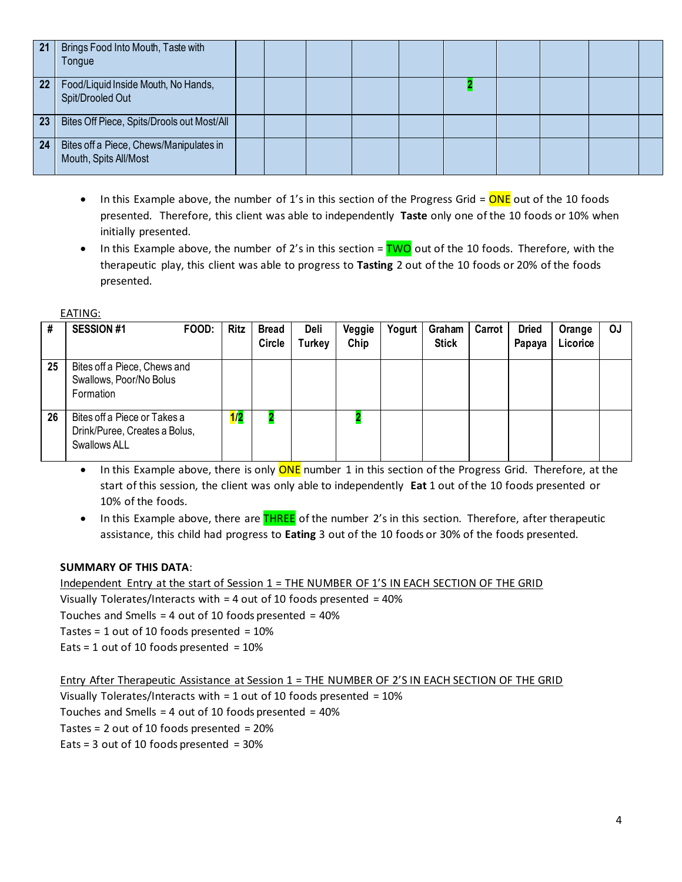| $\sqrt{21}$ | Brings Food Into Mouth, Taste with<br>Tongue                     |  |  |  |  |  |
|-------------|------------------------------------------------------------------|--|--|--|--|--|
| 22          | Food/Liquid Inside Mouth, No Hands,<br>Spit/Drooled Out          |  |  |  |  |  |
| 23          | Bites Off Piece, Spits/Drools out Most/All                       |  |  |  |  |  |
| 24          | Bites off a Piece, Chews/Manipulates in<br>Mouth, Spits All/Most |  |  |  |  |  |

- In this Example above, the number of 1's in this section of the Progress Grid =  $\overline{ONE}$  out of the 10 foods presented. Therefore, this client was able to independently **Taste** only one of the 10 foods or 10% when initially presented.
- In this Example above, the number of 2's in this section =  $\overline{TWO}$  out of the 10 foods. Therefore, with the therapeutic play, this client was able to progress to **Tasting** 2 out of the 10 foods or 20% of the foods presented.

EATING:

| #  | <b>SESSION #1</b>                                                             | FOOD: | <b>Ritz</b> | <b>Bread</b><br><b>Circle</b> | Deli<br>Turkey | Veggie<br>Chip | Yogurt | Graham<br><b>Stick</b> | Carrot | <b>Dried</b><br>Papaya | Orange<br>Licorice | <b>OJ</b> |
|----|-------------------------------------------------------------------------------|-------|-------------|-------------------------------|----------------|----------------|--------|------------------------|--------|------------------------|--------------------|-----------|
| 25 | Bites off a Piece, Chews and<br>Swallows, Poor/No Bolus<br>Formation          |       |             |                               |                |                |        |                        |        |                        |                    |           |
| 26 | Bites off a Piece or Takes a<br>Drink/Puree, Creates a Bolus,<br>Swallows ALL |       | 1/2         |                               |                |                |        |                        |        |                        |                    |           |

- In this Example above, there is only **ONE** number 1 in this section of the Progress Grid. Therefore, at the start of this session, the client was only able to independently **Eat** 1 out of the 10 foods presented or 10% of the foods.
- In this Example above, there are **THREE** of the number 2's in this section. Therefore, after therapeutic assistance, this child had progress to **Eating** 3 out of the 10 foods or 30% of the foods presented.

#### **SUMMARY OF THIS DATA**:

Independent Entry at the start of Session 1 = THE NUMBER OF 1'S IN EACH SECTION OF THE GRID Visually Tolerates/Interacts with = 4 out of 10 foods presented = 40% Touches and Smells = 4 out of 10 foods presented = 40% Tastes =  $1$  out of 10 foods presented =  $10\%$ Eats = 1 out of 10 foods presented =  $10\%$ 

Entry After Therapeutic Assistance at Session 1 = THE NUMBER OF 2'S IN EACH SECTION OF THE GRID Visually Tolerates/Interacts with = 1 out of 10 foods presented = 10% Touches and Smells = 4 out of 10 foods presented = 40% Tastes = 2 out of 10 foods presented = 20% Eats =  $3$  out of 10 foods presented =  $30\%$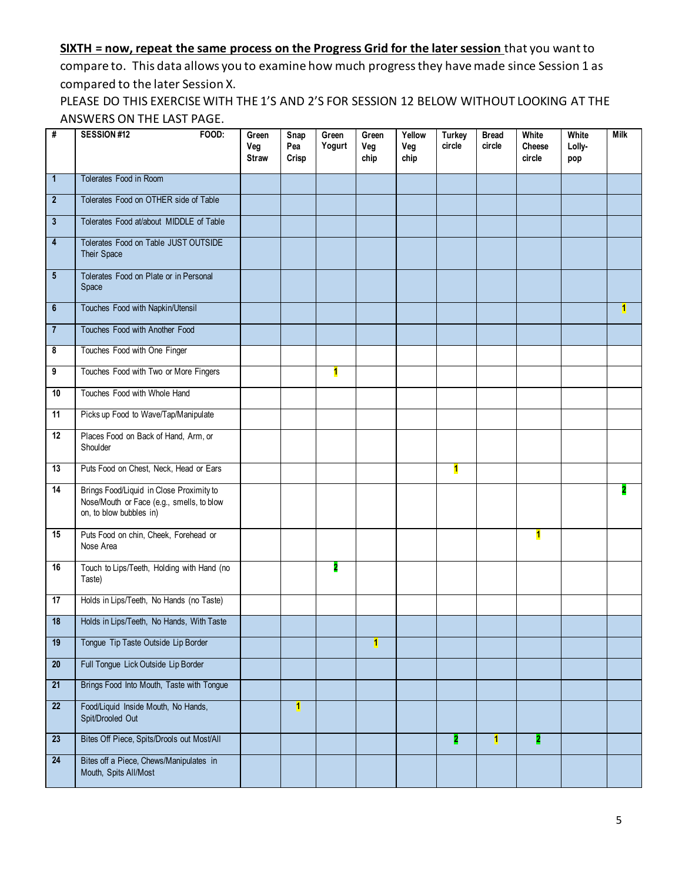### **SIXTH = now, repeat the same process on the Progress Grid for the later session** that you want to

compare to. This data allows you to examine how much progress they have made since Session 1 as compared to the later Session X.

PLEASE DO THIS EXERCISE WITH THE 1'S AND 2'S FOR SESSION 12 BELOW WITHOUT LOOKING AT THE ANSWERS ON THE LAST PAGE.

| #                | SESSION#12<br>FOOD:                                                                                              | Green<br>Veg<br><b>Straw</b> | Snap<br>Pea<br>Crisp    | Green<br>Yogurt | Green<br>Veg<br>chip    | Yellow<br>Veg<br>chip | <b>Turkey</b><br>circle | <b>Bread</b><br>circle | White<br>Cheese<br>circle | White<br>Lolly-<br>pop | <b>Milk</b>    |
|------------------|------------------------------------------------------------------------------------------------------------------|------------------------------|-------------------------|-----------------|-------------------------|-----------------------|-------------------------|------------------------|---------------------------|------------------------|----------------|
| $\mathbf{1}$     | Tolerates Food in Room                                                                                           |                              |                         |                 |                         |                       |                         |                        |                           |                        |                |
| $\boldsymbol{2}$ | Tolerates Food on OTHER side of Table                                                                            |                              |                         |                 |                         |                       |                         |                        |                           |                        |                |
| $\mathbf{3}$     | Tolerates Food at/about MIDDLE of Table                                                                          |                              |                         |                 |                         |                       |                         |                        |                           |                        |                |
| 4                | Tolerates Food on Table JUST OUTSIDE<br>Their Space                                                              |                              |                         |                 |                         |                       |                         |                        |                           |                        |                |
| $5\phantom{.0}$  | Tolerates Food on Plate or in Personal<br>Space                                                                  |                              |                         |                 |                         |                       |                         |                        |                           |                        |                |
| $6\phantom{.0}$  | Touches Food with Napkin/Utensil                                                                                 |                              |                         |                 |                         |                       |                         |                        |                           |                        | $\blacksquare$ |
| $\overline{7}$   | Touches Food with Another Food                                                                                   |                              |                         |                 |                         |                       |                         |                        |                           |                        |                |
| 8                | Touches Food with One Finger                                                                                     |                              |                         |                 |                         |                       |                         |                        |                           |                        |                |
| 9                | Touches Food with Two or More Fingers                                                                            |                              |                         | 1               |                         |                       |                         |                        |                           |                        |                |
| 10               | Touches Food with Whole Hand                                                                                     |                              |                         |                 |                         |                       |                         |                        |                           |                        |                |
| 11               | Picks up Food to Wave/Tap/Manipulate                                                                             |                              |                         |                 |                         |                       |                         |                        |                           |                        |                |
| 12               | Places Food on Back of Hand, Arm, or<br>Shoulder                                                                 |                              |                         |                 |                         |                       |                         |                        |                           |                        |                |
| 13               | Puts Food on Chest, Neck, Head or Ears                                                                           |                              |                         |                 |                         |                       | $\overline{\mathbf{1}}$ |                        |                           |                        |                |
| 14               | Brings Food/Liquid in Close Proximity to<br>Nose/Mouth or Face (e.g., smells, to blow<br>on, to blow bubbles in) |                              |                         |                 |                         |                       |                         |                        |                           |                        |                |
| 15               | Puts Food on chin, Cheek, Forehead or<br>Nose Area                                                               |                              |                         |                 |                         |                       |                         |                        | 1                         |                        |                |
| 16               | Touch to Lips/Teeth, Holding with Hand (no<br>Taste)                                                             |                              |                         | 2               |                         |                       |                         |                        |                           |                        |                |
| 17               | Holds in Lips/Teeth, No Hands (no Taste)                                                                         |                              |                         |                 |                         |                       |                         |                        |                           |                        |                |
| 18               | Holds in Lips/Teeth, No Hands, With Taste                                                                        |                              |                         |                 |                         |                       |                         |                        |                           |                        |                |
| 19               | Tongue Tip Taste Outside Lip Border                                                                              |                              |                         |                 | $\overline{\mathbf{1}}$ |                       |                         |                        |                           |                        |                |
| 20 <sub>2</sub>  | Full Tongue Lick Outside Lip Border                                                                              |                              |                         |                 |                         |                       |                         |                        |                           |                        |                |
| 21               | Brings Food Into Mouth, Taste with Tongue                                                                        |                              |                         |                 |                         |                       |                         |                        |                           |                        |                |
| 22               | Food/Liquid Inside Mouth, No Hands,<br>Spit/Drooled Out                                                          |                              | $\overline{\mathbf{1}}$ |                 |                         |                       |                         |                        |                           |                        |                |
| 23               | Bites Off Piece, Spits/Drools out Most/All                                                                       |                              |                         |                 |                         |                       | 2                       | 1                      | 2                         |                        |                |
| 24               | Bites off a Piece, Chews/Manipulates in<br>Mouth, Spits All/Most                                                 |                              |                         |                 |                         |                       |                         |                        |                           |                        |                |